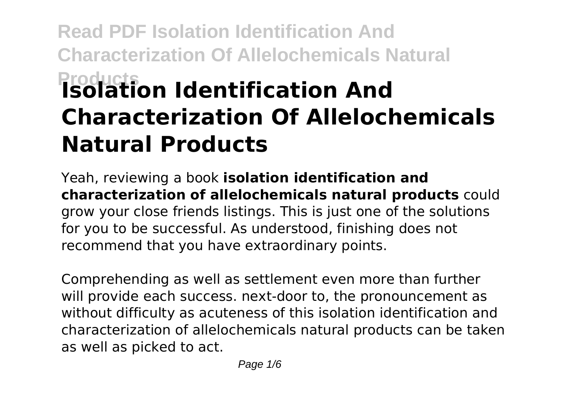# **Read PDF Isolation Identification And Characterization Of Allelochemicals Natural Products Isolation Identification And Characterization Of Allelochemicals Natural Products**

Yeah, reviewing a book **isolation identification and characterization of allelochemicals natural products** could grow your close friends listings. This is just one of the solutions for you to be successful. As understood, finishing does not recommend that you have extraordinary points.

Comprehending as well as settlement even more than further will provide each success. next-door to, the pronouncement as without difficulty as acuteness of this isolation identification and characterization of allelochemicals natural products can be taken as well as picked to act.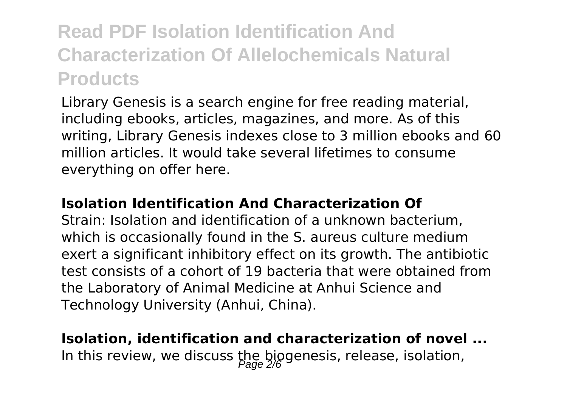## **Read PDF Isolation Identification And Characterization Of Allelochemicals Natural Products**

Library Genesis is a search engine for free reading material, including ebooks, articles, magazines, and more. As of this writing, Library Genesis indexes close to 3 million ebooks and 60 million articles. It would take several lifetimes to consume everything on offer here.

#### **Isolation Identification And Characterization Of**

Strain: Isolation and identification of a unknown bacterium, which is occasionally found in the S. aureus culture medium exert a significant inhibitory effect on its growth. The antibiotic test consists of a cohort of 19 bacteria that were obtained from the Laboratory of Animal Medicine at Anhui Science and Technology University (Anhui, China).

### **Isolation, identification and characterization of novel ...** In this review, we discuss the biogenesis, release, isolation,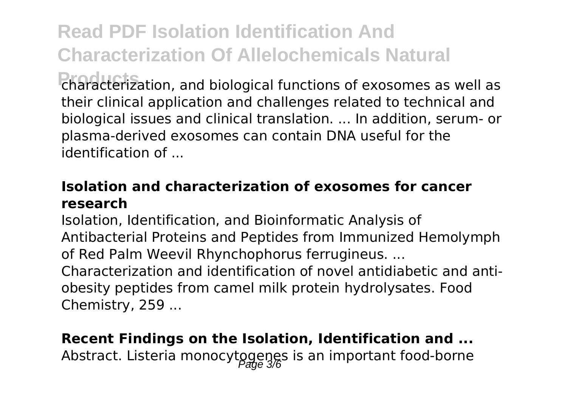**Read PDF Isolation Identification And Characterization Of Allelochemicals Natural Products** characterization, and biological functions of exosomes as well as their clinical application and challenges related to technical and biological issues and clinical translation. ... In addition, serum- or plasma-derived exosomes can contain DNA useful for the identification of ...

#### **Isolation and characterization of exosomes for cancer research**

Isolation, Identification, and Bioinformatic Analysis of Antibacterial Proteins and Peptides from Immunized Hemolymph of Red Palm Weevil Rhynchophorus ferrugineus. ... Characterization and identification of novel antidiabetic and antiobesity peptides from camel milk protein hydrolysates. Food Chemistry, 259 ...

### **Recent Findings on the Isolation, Identification and ...** Abstract. Listeria monocytogenes is an important food-borne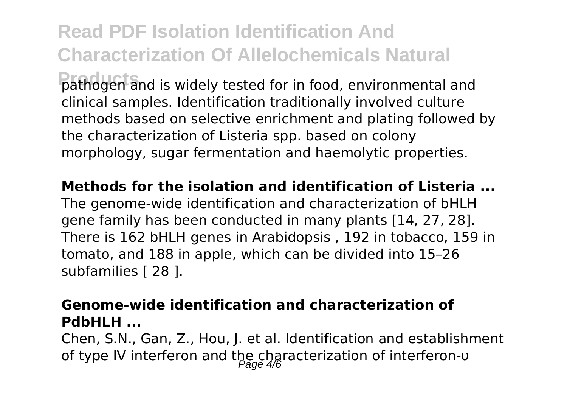**Read PDF Isolation Identification And Characterization Of Allelochemicals Natural Products** pathogen and is widely tested for in food, environmental and clinical samples. Identification traditionally involved culture methods based on selective enrichment and plating followed by the characterization of Listeria spp. based on colony morphology, sugar fermentation and haemolytic properties.

**Methods for the isolation and identification of Listeria ...**

The genome-wide identification and characterization of bHLH gene family has been conducted in many plants [14, 27, 28]. There is 162 bHLH genes in Arabidopsis , 192 in tobacco, 159 in tomato, and 188 in apple, which can be divided into 15–26 subfamilies [ 28 ].

#### **Genome-wide identification and characterization of PdbHLH ...**

Chen, S.N., Gan, Z., Hou, J. et al. Identification and establishment of type IV interferon and the characterization of interferon-υ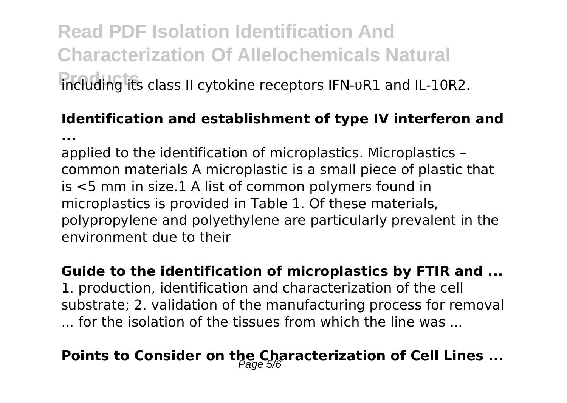## **Read PDF Isolation Identification And Characterization Of Allelochemicals Natural Products** including its class II cytokine receptors IFN-υR1 and IL-10R2.

**...**

## **Identification and establishment of type IV interferon and**

applied to the identification of microplastics. Microplastics – common materials A microplastic is a small piece of plastic that is <5 mm in size.1 A list of common polymers found in microplastics is provided in Table 1. Of these materials, polypropylene and polyethylene are particularly prevalent in the environment due to their

#### **Guide to the identification of microplastics by FTIR and ...**

1. production, identification and characterization of the cell substrate; 2. validation of the manufacturing process for removal ... for the isolation of the tissues from which the line was ...

## **Points to Consider on the Characterization of Cell Lines ...**